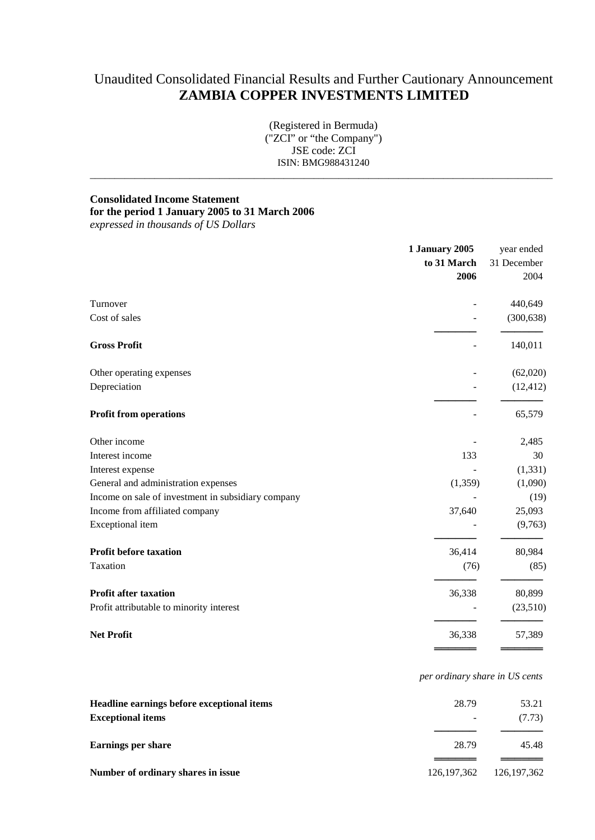# Unaudited Consolidated Financial Results and Further Cautionary Announcement **ZAMBIA COPPER INVESTMENTS LIMITED**

(Registered in Bermuda) ("ZCI" or "the Company") JSE code: ZCI ISIN: BMG988431240

 $\_$  ,  $\_$  ,  $\_$  ,  $\_$  ,  $\_$  ,  $\_$  ,  $\_$  ,  $\_$  ,  $\_$  ,  $\_$  ,  $\_$  ,  $\_$  ,  $\_$  ,  $\_$  ,  $\_$  ,  $\_$  ,  $\_$  ,  $\_$  ,  $\_$  ,  $\_$  ,  $\_$  ,  $\_$  ,  $\_$  ,  $\_$  ,  $\_$  ,  $\_$  ,  $\_$  ,  $\_$  ,  $\_$  ,  $\_$  ,  $\_$  ,  $\_$  ,  $\_$  ,  $\_$  ,  $\_$  ,  $\_$  ,  $\_$  ,

# **Consolidated Income Statement**

# **for the period 1 January 2005 to 31 March 2006**

*expressed in thousands of US Dollars*

|                                                    | 1 January 2005 | year ended<br>31 December<br>2004 |
|----------------------------------------------------|----------------|-----------------------------------|
|                                                    | to 31 March    |                                   |
|                                                    | 2006           |                                   |
| Turnover                                           |                | 440,649                           |
| Cost of sales                                      |                | (300, 638)                        |
| <b>Gross Profit</b>                                |                | 140,011                           |
| Other operating expenses                           |                | (62,020)                          |
| Depreciation                                       |                | (12, 412)                         |
| <b>Profit from operations</b>                      |                | 65,579                            |
| Other income                                       |                | 2,485                             |
| Interest income                                    | 133            | 30                                |
| Interest expense                                   |                | (1, 331)                          |
| General and administration expenses                | (1, 359)       | (1,090)                           |
| Income on sale of investment in subsidiary company |                | (19)                              |
| Income from affiliated company                     | 37,640         | 25,093                            |
| Exceptional item                                   |                | (9,763)                           |
| <b>Profit before taxation</b>                      | 36,414         | 80,984                            |
| Taxation                                           | (76)           | (85)                              |
| <b>Profit after taxation</b>                       | 36,338         | 80,899                            |
| Profit attributable to minority interest           |                | (23,510)                          |
| <b>Net Profit</b>                                  | 36,338         | 57,389                            |
|                                                    |                |                                   |

*per ordinary share in US cents*

| Headline earnings before exceptional items | 28.79         | 53.21         |
|--------------------------------------------|---------------|---------------|
| <b>Exceptional items</b>                   |               | (7.73)        |
| Earnings per share                         | 28.79         | 45.48         |
|                                            |               |               |
| Number of ordinary shares in issue         | 126, 197, 362 | 126, 197, 362 |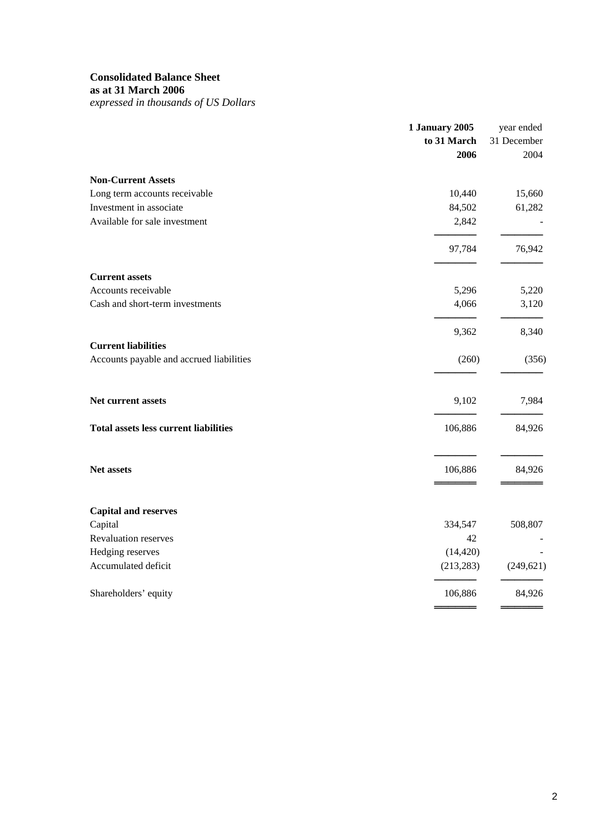### **Consolidated Balance Sheet**

**as at 31 March 2006**

*expressed in thousands of US Dollars*

|                                              | <b>1 January 2005</b> | year ended  |  |
|----------------------------------------------|-----------------------|-------------|--|
|                                              | to 31 March           | 31 December |  |
|                                              | 2006                  | 2004        |  |
| <b>Non-Current Assets</b>                    |                       |             |  |
| Long term accounts receivable                | 10,440                | 15,660      |  |
| Investment in associate                      | 84,502                | 61,282      |  |
| Available for sale investment                | 2,842                 |             |  |
|                                              | 97,784                | 76,942      |  |
| <b>Current assets</b>                        |                       |             |  |
| Accounts receivable                          | 5,296                 | 5,220       |  |
| Cash and short-term investments              | 4,066                 | 3,120       |  |
|                                              | 9,362                 | 8,340       |  |
| <b>Current liabilities</b>                   |                       |             |  |
| Accounts payable and accrued liabilities     | (260)                 | (356)       |  |
| Net current assets                           | 9,102                 | 7,984       |  |
| <b>Total assets less current liabilities</b> | 106,886               | 84,926      |  |
| Net assets                                   | 106,886               | 84,926      |  |
|                                              |                       |             |  |
| <b>Capital and reserves</b>                  |                       |             |  |
| Capital                                      | 334,547               | 508,807     |  |
| <b>Revaluation reserves</b>                  | 42                    |             |  |
| Hedging reserves                             | (14, 420)             |             |  |
| Accumulated deficit                          | (213, 283)            | (249, 621)  |  |
| Shareholders' equity                         | 106,886               | 84,926      |  |
|                                              |                       |             |  |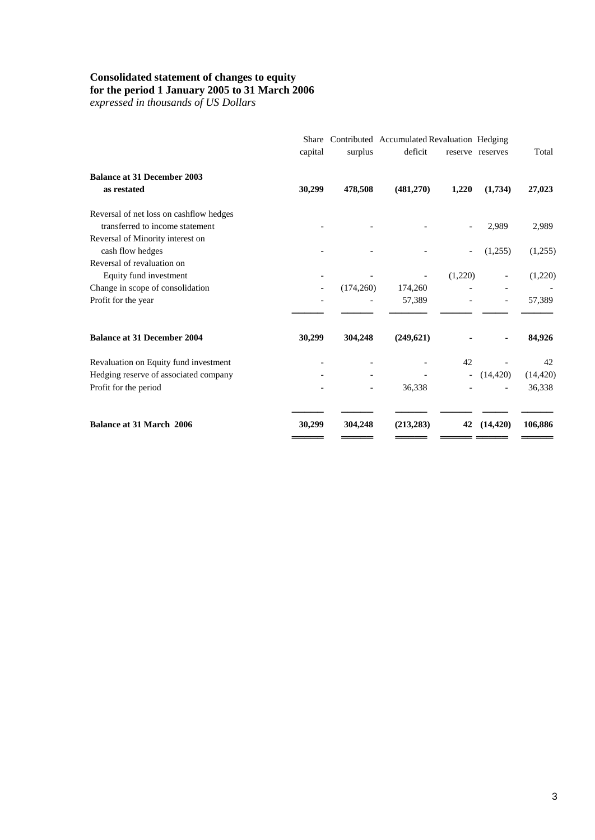#### **Consolidated statement of changes to equity**

#### **for the period 1 January 2005 to 31 March 2006**

*expressed in thousands of US Dollars*

|                                         | Share<br>capital | surplus   | Contributed Accumulated Revaluation Hedging<br>deficit |                          | reserve reserves | Total     |
|-----------------------------------------|------------------|-----------|--------------------------------------------------------|--------------------------|------------------|-----------|
| <b>Balance at 31 December 2003</b>      |                  |           |                                                        |                          |                  |           |
| as restated                             | 30,299           | 478,508   | (481,270)                                              | 1,220                    | (1,734)          | 27,023    |
| Reversal of net loss on cashflow hedges |                  |           |                                                        |                          |                  |           |
| transferred to income statement         |                  |           |                                                        |                          | 2,989            | 2,989     |
| Reversal of Minority interest on        |                  |           |                                                        |                          |                  |           |
| cash flow hedges                        |                  |           |                                                        |                          | (1,255)          | (1,255)   |
| Reversal of revaluation on              |                  |           |                                                        |                          |                  |           |
| Equity fund investment                  |                  |           |                                                        | (1,220)                  |                  | (1,220)   |
| Change in scope of consolidation        |                  | (174,260) | 174,260                                                |                          |                  |           |
| Profit for the year                     |                  |           | 57,389                                                 |                          |                  | 57,389    |
| <b>Balance at 31 December 2004</b>      | 30,299           | 304,248   | (249, 621)                                             |                          |                  | 84,926    |
| Revaluation on Equity fund investment   |                  |           |                                                        | 42                       |                  | 42        |
| Hedging reserve of associated company   |                  |           |                                                        | $\overline{\phantom{a}}$ | (14, 420)        | (14, 420) |
| Profit for the period                   |                  |           | 36,338                                                 |                          |                  | 36,338    |
| <b>Balance at 31 March 2006</b>         | 30,299           | 304.248   | (213, 283)                                             | 42                       | (14, 420)        | 106,886   |
|                                         |                  |           |                                                        |                          |                  |           |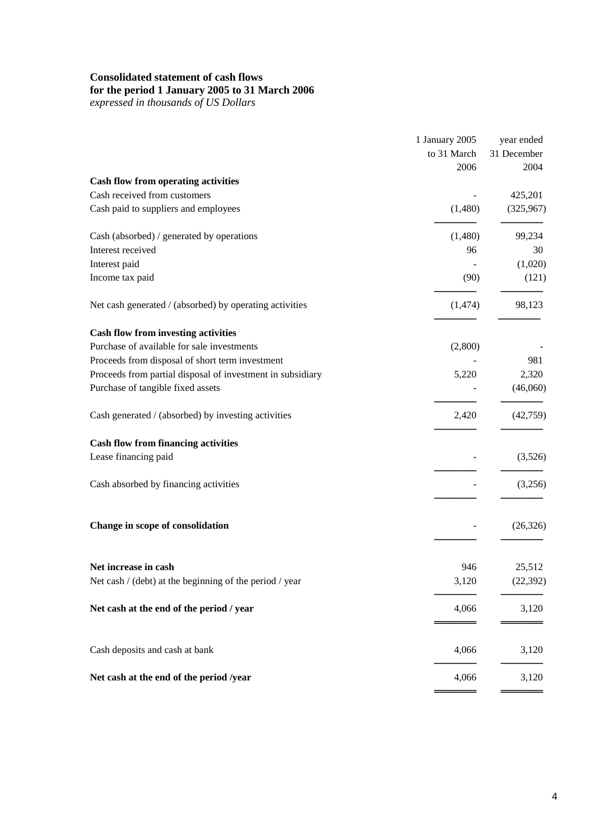# **Consolidated statement of cash flows**

#### **for the period 1 January 2005 to 31 March 2006**

*expressed in thousands of US Dollars*

|                                                            | 1 January 2005<br>to 31 March<br>2006 | year ended<br>31 December<br>2004 |
|------------------------------------------------------------|---------------------------------------|-----------------------------------|
| <b>Cash flow from operating activities</b>                 |                                       |                                   |
| Cash received from customers                               |                                       | 425,201                           |
| Cash paid to suppliers and employees                       | (1,480)                               | (325,967)                         |
| Cash (absorbed) / generated by operations                  | (1,480)                               | 99,234                            |
| Interest received                                          | 96                                    | 30                                |
| Interest paid                                              |                                       | (1,020)                           |
| Income tax paid                                            | (90)                                  | (121)                             |
| Net cash generated / (absorbed) by operating activities    | (1,474)                               | 98,123                            |
| <b>Cash flow from investing activities</b>                 |                                       |                                   |
| Purchase of available for sale investments                 | (2,800)                               |                                   |
| Proceeds from disposal of short term investment            |                                       | 981                               |
| Proceeds from partial disposal of investment in subsidiary | 5,220                                 | 2,320                             |
| Purchase of tangible fixed assets                          |                                       | (46,060)                          |
| Cash generated / (absorbed) by investing activities        | 2,420                                 | (42,759)                          |
| <b>Cash flow from financing activities</b>                 |                                       |                                   |
| Lease financing paid                                       |                                       | (3,526)                           |
| Cash absorbed by financing activities                      |                                       | (3,256)                           |
| Change in scope of consolidation                           |                                       | (26, 326)                         |
| Net increase in cash                                       | 946                                   | 25,512                            |
| Net cash / (debt) at the beginning of the period / year    | 3,120                                 | (22, 392)                         |
|                                                            |                                       |                                   |
| Net cash at the end of the period / year                   | 4,066                                 | 3,120                             |
| Cash deposits and cash at bank                             | 4,066                                 | 3,120                             |
| Net cash at the end of the period /year                    | 4,066                                 | 3,120                             |
|                                                            |                                       |                                   |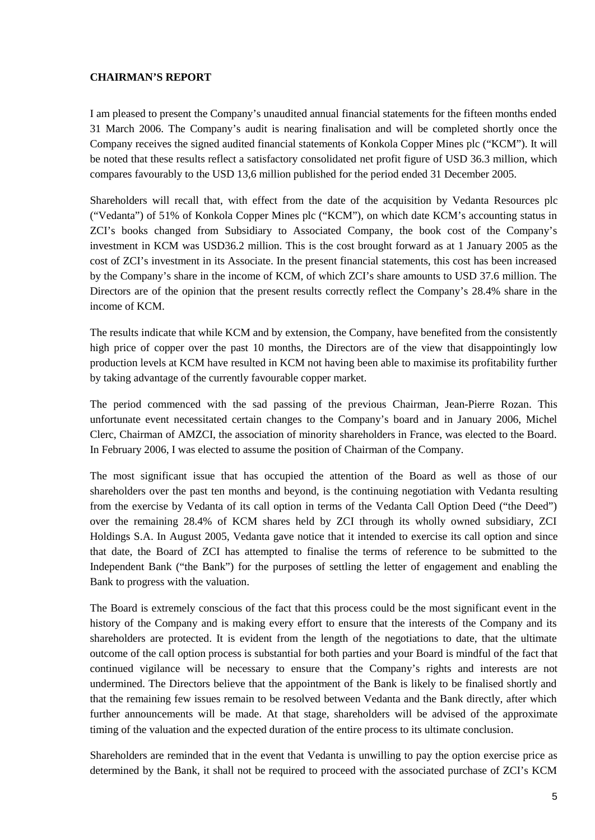#### **CHAIRMAN'S REPORT**

I am pleased to present the Company's unaudited annual financial statements for the fifteen months ended 31 March 2006. The Company's audit is nearing finalisation and will be completed shortly once the Company receives the signed audited financial statements of Konkola Copper Mines plc ("KCM"). It will be noted that these results reflect a satisfactory consolidated net profit figure of USD 36.3 million, which compares favourably to the USD 13,6 million published for the period ended 31 December 2005.

Shareholders will recall that, with effect from the date of the acquisition by Vedanta Resources plc ("Vedanta") of 51% of Konkola Copper Mines plc ("KCM"), on which date KCM's accounting status in ZCI's books changed from Subsidiary to Associated Company, the book cost of the Company's investment in KCM was USD36.2 million. This is the cost brought forward as at 1 January 2005 as the cost of ZCI's investment in its Associate. In the present financial statements, this cost has been increased by the Company's share in the income of KCM, of which ZCI's share amounts to USD 37.6 million. The Directors are of the opinion that the present results correctly reflect the Company's 28.4% share in the income of KCM.

The results indicate that while KCM and by extension, the Company, have benefited from the consistently high price of copper over the past 10 months, the Directors are of the view that disappointingly low production levels at KCM have resulted in KCM not having been able to maximise its profitability further by taking advantage of the currently favourable copper market.

The period commenced with the sad passing of the previous Chairman, Jean-Pierre Rozan. This unfortunate event necessitated certain changes to the Company's board and in January 2006, Michel Clerc, Chairman of AMZCI, the association of minority shareholders in France, was elected to the Board. In February 2006, I was elected to assume the position of Chairman of the Company.

The most significant issue that has occupied the attention of the Board as well as those of our shareholders over the past ten months and beyond, is the continuing negotiation with Vedanta resulting from the exercise by Vedanta of its call option in terms of the Vedanta Call Option Deed ("the Deed") over the remaining 28.4% of KCM shares held by ZCI through its wholly owned subsidiary, ZCI Holdings S.A. In August 2005, Vedanta gave notice that it intended to exercise its call option and since that date, the Board of ZCI has attempted to finalise the terms of reference to be submitted to the Independent Bank ("the Bank") for the purposes of settling the letter of engagement and enabling the Bank to progress with the valuation.

The Board is extremely conscious of the fact that this process could be the most significant event in the history of the Company and is making every effort to ensure that the interests of the Company and its shareholders are protected. It is evident from the length of the negotiations to date, that the ultimate outcome of the call option process is substantial for both parties and your Board is mindful of the fact that continued vigilance will be necessary to ensure that the Company's rights and interests are not undermined. The Directors believe that the appointment of the Bank is likely to be finalised shortly and that the remaining few issues remain to be resolved between Vedanta and the Bank directly, after which further announcements will be made. At that stage, shareholders will be advised of the approximate timing of the valuation and the expected duration of the entire process to its ultimate conclusion.

Shareholders are reminded that in the event that Vedanta is unwilling to pay the option exercise price as determined by the Bank, it shall not be required to proceed with the associated purchase of ZCI's KCM